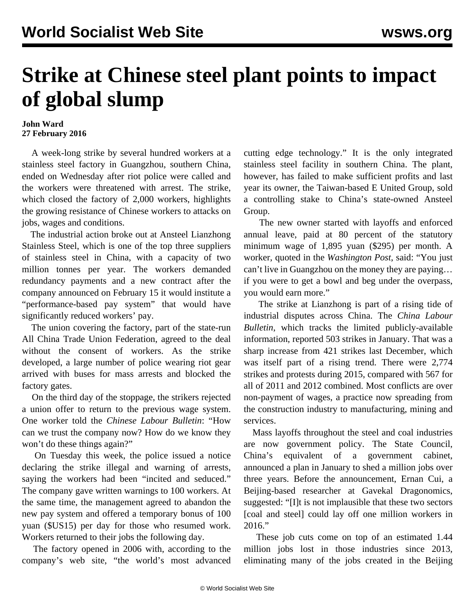## **Strike at Chinese steel plant points to impact of global slump**

## **John Ward 27 February 2016**

 A week-long strike by several hundred workers at a stainless steel factory in Guangzhou, southern China, ended on Wednesday after riot police were called and the workers were threatened with arrest. The strike, which closed the factory of 2,000 workers, highlights the growing resistance of Chinese workers to attacks on jobs, wages and conditions.

 The industrial action broke out at Ansteel Lianzhong Stainless Steel, which is one of the top three suppliers of stainless steel in China, with a capacity of two million tonnes per year. The workers demanded redundancy payments and a new contract after the company announced on February 15 it would institute a "performance-based pay system" that would have significantly reduced workers' pay.

 The union covering the factory, part of the state-run All China Trade Union Federation, agreed to the deal without the consent of workers. As the strike developed, a large number of police wearing riot gear arrived with buses for mass arrests and blocked the factory gates.

 On the third day of the stoppage, the strikers rejected a union offer to return to the previous wage system. One worker told the *Chinese Labour Bulletin*: "How can we trust the company now? How do we know they won't do these things again?"

 On Tuesday this week, the police issued a notice declaring the strike illegal and warning of arrests, saying the workers had been "incited and seduced." The company gave written warnings to 100 workers. At the same time, the management agreed to abandon the new pay system and offered a temporary bonus of 100 yuan (\$US15) per day for those who resumed work. Workers returned to their jobs the following day.

 The factory opened in 2006 with, according to the company's web site, "the world's most advanced cutting edge technology." It is the only integrated stainless steel facility in southern China. The plant, however, has failed to make sufficient profits and last year its owner, the Taiwan-based E United Group, sold a controlling stake to China's state-owned Ansteel Group.

 The new owner started with layoffs and enforced annual leave, paid at 80 percent of the statutory minimum wage of 1,895 yuan (\$295) per month. A worker, quoted in the *Washington Post*, said: "You just can't live in Guangzhou on the money they are paying… if you were to get a bowl and beg under the overpass, you would earn more."

 The strike at Lianzhong is part of a rising tide of industrial disputes across China. The *China Labour Bulletin*, which tracks the limited publicly-available information, reported 503 strikes in January. That was a sharp increase from 421 strikes last December, which was itself part of a rising trend. There were 2,774 strikes and protests during 2015, compared with 567 for all of 2011 and 2012 combined. Most conflicts are over non-payment of wages, a practice now spreading from the construction industry to manufacturing, mining and services.

 Mass layoffs throughout the steel and coal industries are now government policy. The State Council, China's equivalent of a government cabinet, announced a plan in January to shed a million jobs over three years. Before the announcement, Ernan Cui, a Beijing-based researcher at Gavekal Dragonomics, suggested: "[I]t is not implausible that these two sectors [coal and steel] could lay off one million workers in 2016."

 These job cuts come on top of an estimated 1.44 million jobs lost in those industries since 2013, eliminating many of the jobs created in the Beijing